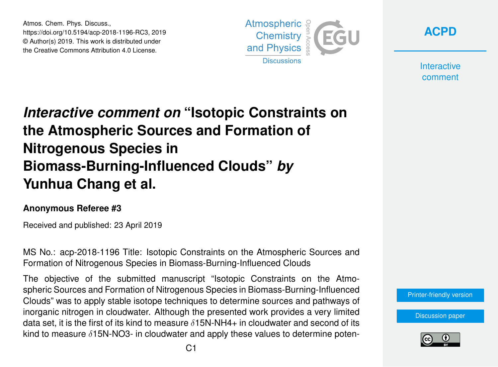Atmos. Chem. Phys. Discuss., https://doi.org/10.5194/acp-2018-1196-RC3, 2019 © Author(s) 2019. This work is distributed under the Creative Commons Attribution 4.0 License.



**[ACPD](https://www.atmos-chem-phys-discuss.net/)**

**Interactive** comment

# *Interactive comment on* **"Isotopic Constraints on the Atmospheric Sources and Formation of Nitrogenous Species in Biomass-Burning-Influenced Clouds"** *by* **Yunhua Chang et al.**

#### **Anonymous Referee #3**

Received and published: 23 April 2019

MS No.: acp-2018-1196 Title: Isotopic Constraints on the Atmospheric Sources and Formation of Nitrogenous Species in Biomass-Burning-Influenced Clouds

The objective of the submitted manuscript "Isotopic Constraints on the Atmospheric Sources and Formation of Nitrogenous Species in Biomass-Burning-Influenced Clouds" was to apply stable isotope techniques to determine sources and pathways of inorganic nitrogen in cloudwater. Although the presented work provides a very limited data set, it is the first of its kind to measure  $\delta$ 15N-NH4+ in cloudwater and second of its kind to measure  $\delta$ 15N-NO3- in cloudwater and apply these values to determine poten-

[Printer-friendly version](https://www.atmos-chem-phys-discuss.net/acp-2018-1196/acp-2018-1196-RC3-print.pdf)

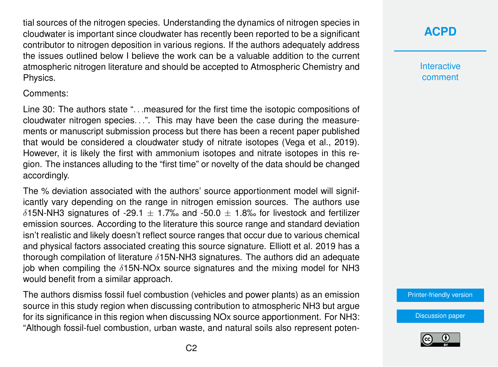tial sources of the nitrogen species. Understanding the dynamics of nitrogen species in cloudwater is important since cloudwater has recently been reported to be a significant contributor to nitrogen deposition in various regions. If the authors adequately address the issues outlined below I believe the work can be a valuable addition to the current atmospheric nitrogen literature and should be accepted to Atmospheric Chemistry and Physics.

#### Comments:

Line 30: The authors state ". . .measured for the first time the isotopic compositions of cloudwater nitrogen species. . .". This may have been the case during the measurements or manuscript submission process but there has been a recent paper published that would be considered a cloudwater study of nitrate isotopes (Vega et al., 2019). However, it is likely the first with ammonium isotopes and nitrate isotopes in this region. The instances alluding to the "first time" or novelty of the data should be changed accordingly.

The % deviation associated with the authors' source apportionment model will significantly vary depending on the range in nitrogen emission sources. The authors use  $\delta$ 15N-NH3 signatures of -29.1  $\pm$  1.7‰ and -50.0  $\pm$  1.8‰ for livestock and fertilizer emission sources. According to the literature this source range and standard deviation isn't realistic and likely doesn't reflect source ranges that occur due to various chemical and physical factors associated creating this source signature. Elliott et al. 2019 has a thorough compilation of literature δ15N-NH3 signatures. The authors did an adequate job when compiling the  $\delta$ 15N-NOx source signatures and the mixing model for NH3 would benefit from a similar approach.

The authors dismiss fossil fuel combustion (vehicles and power plants) as an emission source in this study region when discussing contribution to atmospheric NH3 but argue for its significance in this region when discussing NOx source apportionment. For NH3: "Although fossil-fuel combustion, urban waste, and natural soils also represent poten-

## **[ACPD](https://www.atmos-chem-phys-discuss.net/)**

**Interactive** comment

[Printer-friendly version](https://www.atmos-chem-phys-discuss.net/acp-2018-1196/acp-2018-1196-RC3-print.pdf)

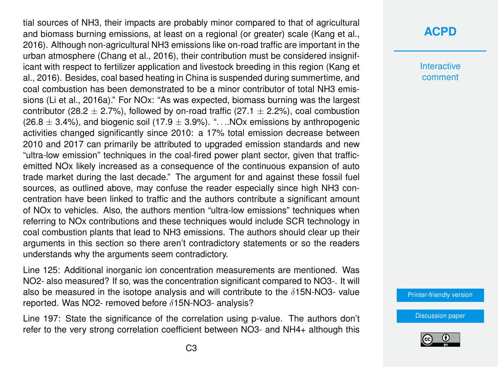tial sources of NH3, their impacts are probably minor compared to that of agricultural and biomass burning emissions, at least on a regional (or greater) scale (Kang et al., 2016). Although non-agricultural NH3 emissions like on-road traffic are important in the urban atmosphere (Chang et al., 2016), their contribution must be considered insignificant with respect to fertilizer application and livestock breeding in this region (Kang et al., 2016). Besides, coal based heating in China is suspended during summertime, and coal combustion has been demonstrated to be a minor contributor of total NH3 emissions (Li et al., 2016a)." For NOx: "As was expected, biomass burning was the largest contributor (28.2  $\pm$  2.7%), followed by on-road traffic (27.1  $\pm$  2.2%), coal combustion  $(26.8 \pm 3.4\%)$ , and biogenic soil (17.9  $\pm$  3.9%). "....NOx emissions by anthropogenic activities changed significantly since 2010: a 17% total emission decrease between 2010 and 2017 can primarily be attributed to upgraded emission standards and new "ultra-low emission" techniques in the coal-fired power plant sector, given that trafficemitted NOx likely increased as a consequence of the continuous expansion of auto trade market during the last decade." The argument for and against these fossil fuel sources, as outlined above, may confuse the reader especially since high NH3 concentration have been linked to traffic and the authors contribute a significant amount of NOx to vehicles. Also, the authors mention "ultra-low emissions" techniques when referring to NOx contributions and these techniques would include SCR technology in coal combustion plants that lead to NH3 emissions. The authors should clear up their arguments in this section so there aren't contradictory statements or so the readers understands why the arguments seem contradictory.

Line 125: Additional inorganic ion concentration measurements are mentioned. Was NO2- also measured? If so, was the concentration significant compared to NO3-. It will also be measured in the isotope analysis and will contribute to the  $\delta$ 15N-NO3- value reported. Was NO2- removed before δ15N-NO3- analysis?

Line 197: State the significance of the correlation using p-value. The authors don't refer to the very strong correlation coefficient between NO3- and NH4+ although this

#### **[ACPD](https://www.atmos-chem-phys-discuss.net/)**

**Interactive** comment

[Printer-friendly version](https://www.atmos-chem-phys-discuss.net/acp-2018-1196/acp-2018-1196-RC3-print.pdf)

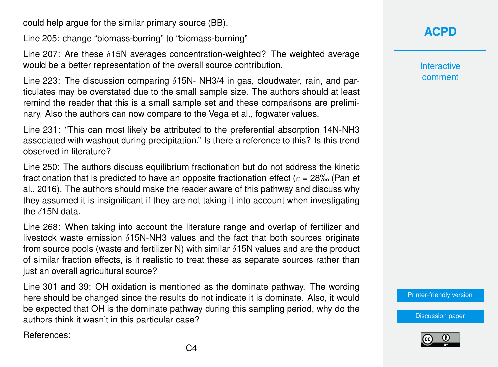could help argue for the similar primary source (BB).

Line 205: change "biomass-burring" to "biomass-burning"

Line 207: Are these  $\delta$ 15N averages concentration-weighted? The weighted average would be a better representation of the overall source contribution.

Line 223: The discussion comparing  $\delta$ 15N- NH3/4 in gas, cloudwater, rain, and particulates may be overstated due to the small sample size. The authors should at least remind the reader that this is a small sample set and these comparisons are preliminary. Also the authors can now compare to the Vega et al., fogwater values.

Line 231: "This can most likely be attributed to the preferential absorption 14N-NH3 associated with washout during precipitation." Is there a reference to this? Is this trend observed in literature?

Line 250: The authors discuss equilibrium fractionation but do not address the kinetic fractionation that is predicted to have an opposite fractionation effect ( $\varepsilon$  = 28‰ (Pan et al., 2016). The authors should make the reader aware of this pathway and discuss why they assumed it is insignificant if they are not taking it into account when investigating the  $\delta$ 15N data.

Line 268: When taking into account the literature range and overlap of fertilizer and livestock waste emission  $\delta$ 15N-NH3 values and the fact that both sources originate from source pools (waste and fertilizer N) with similar  $\delta$ 15N values and are the product of similar fraction effects, is it realistic to treat these as separate sources rather than just an overall agricultural source?

Line 301 and 39: OH oxidation is mentioned as the dominate pathway. The wording here should be changed since the results do not indicate it is dominate. Also, it would be expected that OH is the dominate pathway during this sampling period, why do the authors think it wasn't in this particular case?

References:

### **[ACPD](https://www.atmos-chem-phys-discuss.net/)**

**Interactive** comment

[Printer-friendly version](https://www.atmos-chem-phys-discuss.net/acp-2018-1196/acp-2018-1196-RC3-print.pdf)